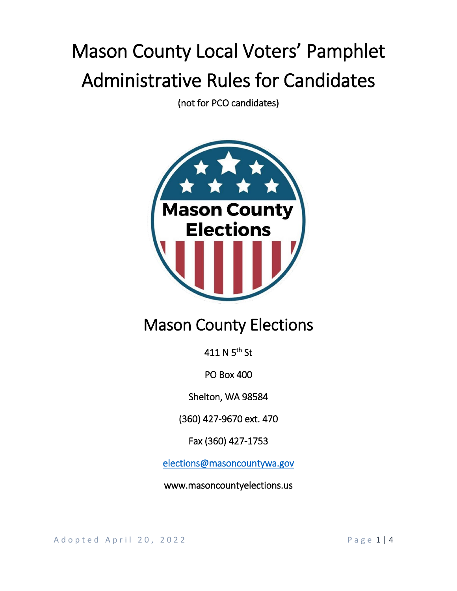# Mason County Local Voters' Pamphlet Administrative Rules for Candidates

(not for PCO candidates)



# Mason County Elections

411 N 5<sup>th</sup> St

PO Box 400

Shelton, WA 98584

(360) 427-9670 ext. 470

Fax (360) 427-1753

[elections@masoncountywa.gov](mailto:elections@masoncountywa.gov) 

www.masoncountyelections.us

A d o p t e d A p r i l 20, 2022 P a g e 1 | 4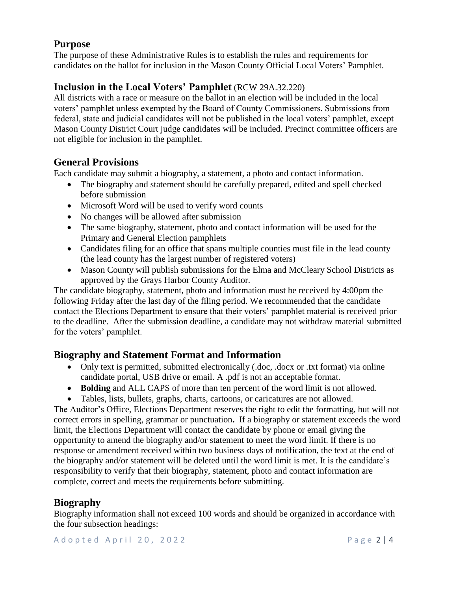# **Purpose**

The purpose of these Administrative Rules is to establish the rules and requirements for candidates on the ballot for inclusion in the Mason County Official Local Voters' Pamphlet.

# **Inclusion in the Local Voters' Pamphlet** (RCW 29A.32.220)

All districts with a race or measure on the ballot in an election will be included in the local voters' pamphlet unless exempted by the Board of County Commissioners. Submissions from federal, state and judicial candidates will not be published in the local voters' pamphlet, except Mason County District Court judge candidates will be included. Precinct committee officers are not eligible for inclusion in the pamphlet.

# **General Provisions**

Each candidate may submit a biography, a statement, a photo and contact information.

- The biography and statement should be carefully prepared, edited and spell checked before submission
- Microsoft Word will be used to verify word counts
- No changes will be allowed after submission
- The same biography, statement, photo and contact information will be used for the Primary and General Election pamphlets
- Candidates filing for an office that spans multiple counties must file in the lead county (the lead county has the largest number of registered voters)
- Mason County will publish submissions for the Elma and McCleary School Districts as approved by the Grays Harbor County Auditor.

The candidate biography, statement, photo and information must be received by 4:00pm the following Friday after the last day of the filing period. We recommended that the candidate contact the Elections Department to ensure that their voters' pamphlet material is received prior to the deadline. After the submission deadline, a candidate may not withdraw material submitted for the voters' pamphlet.

# **Biography and Statement Format and Information**

- Only text is permitted, submitted electronically (.doc, .docx or .txt format) via online candidate portal, USB drive or email. A .pdf is not an acceptable format.
- **Bolding** and ALL CAPS of more than ten percent of the word limit is not allowed.
- Tables, lists, bullets, graphs, charts, cartoons, or caricatures are not allowed.

The Auditor's Office, Elections Department reserves the right to edit the formatting, but will not correct errors in spelling, grammar or punctuation**.** If a biography or statement exceeds the word limit, the Elections Department will contact the candidate by phone or email giving the opportunity to amend the biography and/or statement to meet the word limit. If there is no response or amendment received within two business days of notification, the text at the end of the biography and/or statement will be deleted until the word limit is met. It is the candidate's responsibility to verify that their biography, statement, photo and contact information are complete, correct and meets the requirements before submitting.

# **Biography**

Biography information shall not exceed 100 words and should be organized in accordance with the four subsection headings: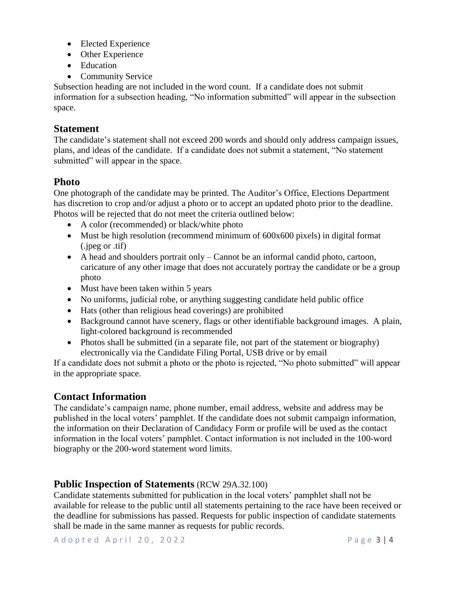- Elected Experience
- Other Experience
- Education
- Community Service

Subsection heading are not included in the word count. If a candidate does not submit information for a subsection heading, "No information submitted" will appear in the subsection space.

#### **Statement**

The candidate's statement shall not exceed 200 words and should only address campaign issues, plans, and ideas of the candidate. If a candidate does not submit a statement, "No statement submitted" will appear in the space.

# **Photo**

One photograph of the candidate may be printed. The Auditor's Office, Elections Department has discretion to crop and/or adjust a photo or to accept an updated photo prior to the deadline. Photos will be rejected that do not meet the criteria outlined below:

- A color (recommended) or black/white photo
- Must be high resolution (recommend minimum of 600x600 pixels) in digital format (.jpeg or .tif)
- A head and shoulders portrait only Cannot be an informal candid photo, cartoon, caricature of any other image that does not accurately portray the candidate or be a group photo
- Must have been taken within 5 years
- No uniforms, judicial robe, or anything suggesting candidate held public office
- Hats (other than religious head coverings) are prohibited
- Background cannot have scenery, flags or other identifiable background images. A plain, light-colored background is recommended
- Photos shall be submitted (in a separate file, not part of the statement or biography) electronically via the Candidate Filing Portal, USB drive or by email

If a candidate does not submit a photo or the photo is rejected, "No photo submitted" will appear in the appropriate space.

# **Contact Information**

The candidate's campaign name, phone number, email address, website and address may be published in the local voters' pamphlet. If the candidate does not submit campaign information, the information on their Declaration of Candidacy Form or profile will be used as the contact information in the local voters' pamphlet. Contact information is not included in the 100-word biography or the 200-word statement word limits.

# **Public Inspection of Statements** (RCW 29A.32.100)

Candidate statements submitted for publication in the local voters' pamphlet shall not be available for release to the public until all statements pertaining to the race have been received or the deadline for submissions has passed. Requests for public inspection of candidate statements shall be made in the same manner as requests for public records.